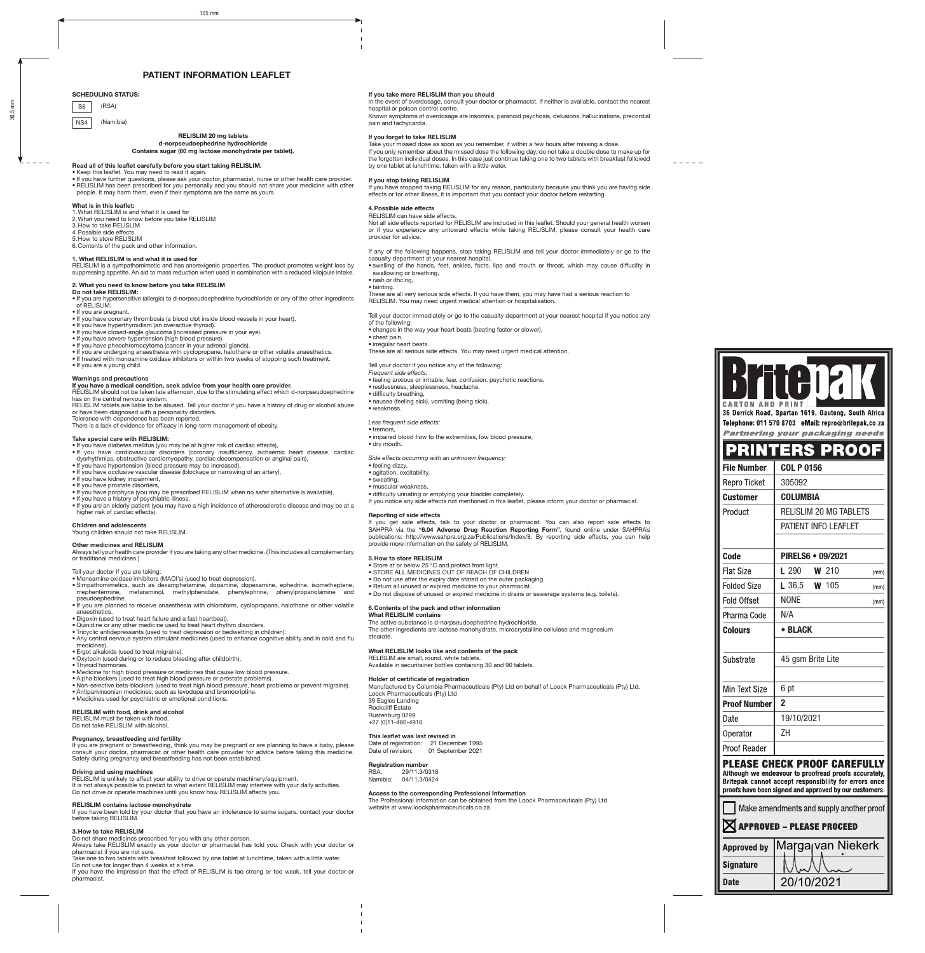# PATIENT INFORMATION LEAFLET

#### SCHEDULING STATUS:

- S6 (RSA)
- NS4 (Namibia)

# RELISLIM 20 mg tablets

#### d-norpseudoephedrine hydrochloride Contains sugar (60 mg lactose monohydrate per tablet).

# Read all of this leaflet carefully before you start taking RELISLIM. • Keep this leaflet. You may need to read it again.

- If you have further questions, please ask your doctor, pharmacist, nurse or other health care provider.<br>• RELISLIM has been prescribed for you personally and you should not share your medicine with other<br>· people. It ma
- 

# **What is in this leaflet:**<br>1. What RELISLIM is and what it is used for

- 
- 2.What you need to know before you take RELISLIM 3.How to take RELISLIM
- 4.Possible side effects 5.How to store RELISLIM
- 6.Contents of the pack and other information.

**1. What RELISLIM is and what it is used for**<br>RELISLIM is a sympathomimetic and has anorexigenic properties. The product promotes weight loss by<br>suppressing appetite. An aid to mass reduction when used in combination with

# 2. What you need to know before you take RELISLIM

- **Do not take RELISLIM:**<br>● If you are hypersensitive (allergic) to d-norpseudoephedrine hydrochloride or any of the other ingredients<br>● If you are pregnant.
- 
- If you have coronary thrombosis (a blood clot inside blood vessels in your heart).<br>• If you have hyperthyroidism (an overactive thyroid).<br>• If you have closed-angle glaucoma (increased pressure in your eye).
- 
- 
- If you have severe hypertension (high blood pressure). If you have pheochromocytoma (cancer in your adrenal glands).
- 
- If you are undergoing anaesthesia with cyclopropane, halothane or other volatile anaesthetics. If treated with monoamine oxidase inhibitors or within two weeks of stopping such treatment. If you are a young child.
- 

# Warnings and precautions

# If you have a medical condition, seek advice from your health care provider.

RELISLIM should not be taken late afternoon, due to the stimulating effect which d-norpseudoephedrine

has on the central nervous system.<br>RELISLIM tablets are liable to be abused. Tell your doctor if you have a history of drug or alcohol abuse<br>or have been diagnosed with a personality disorders. Tolerance with dependence has been reported.

There is a lack of evidence for efficacy in long-term management of obesity.

#### Take special care with RELISLIM:

- If you have diabetes mellitus (you may be at higher risk of cardiac effects), If you have cardiovascular disorders (coronary insufficiency, ischaemic heart disease, cardiac
- dysrhythmias, obstructive cardiomyopathy, cardiac decompensation or anginal pain), If you have hypertension (blood pressure may be increased),
- 
- If you have occlusive vascular disease (blockage or narrowing of an artery),<br>● If you have kidney impairment,<br>● If you have prostate disorders,
- 
- 
- 
- If you have porphyria (you may be prescribed RELISLIM when no safer alternative is available),<br>• If you have a history of psychiatric illness,<br>• If you are an elderly patient (you may have a high incidence of atheroscler

#### Children and adolescents

Young children should not take RELISLIM

**Other medicines and RELISLIM**<br>Always tell your health care provider if you are taking any other medicine. (This includes all complementary or traditional medicines.)

Tell your doctor if you are taking:

- 
- Monoamine oxidase inhibitors (MAOI's) (used to treat depression). Simpathomimetics, such as dexamphetamine, dopamine, dopexamine, ephedrine, isometheptene, mephentermine, metaraminol, methylphenidate, phenylephrine, phenylpropanolamine and pseudoephedrine.
- If you are planned to receive anaesthesia with chloroform, cyclopropane, halothane or other volatile anaesthetics.
- Digoxin (used to treat heart failure and a fast heartbeat).
- Quinidine or any other medicine used to treat heart rhythm disorders.
- Tricyclic antidepressants (used to treat depression or bedwetting in children). Any central nervous system stimulant medicines (used to enhance cognitive ability and in cold and flu medicines).
- 
- Ergot alkaloids (used to treat migraine). Oxytocin (used during or to reduce bleeding after childbirth),
- Thyroid hormones.
- Hyrold homones:<br>• Medicine for high blood pressure or medicines that cause low blood pressure.
- 
- Alpha blockers (used to treat high blood pressure or prostate problems).<br>● Non-selective beta-blockers (used to treat high blood pressure, heart problems or prevent migraine).<br>● Antiparkinsonian medicines, such as levod
- Medicines used for psychiatric or emotional conditions.

#### RELISLIM with food, drink and alcohol

RELISLIM must be taken with food. Do not take RELISLIM with alcohol.

**Pregnancy, breastfeeding and fertility**<br>If you are pregnant or breastfeeding, think you may be pregnant or are planning to have a baby, please consult your doctor, pharmacist or other health care provider for advice before taking this medicine. Safety during pregnancy and breastfeeding has not been established.

**Driving and using machines**<br>RELISLIM is unlikely to affect your ability to drive or operate machinery/equipment.<br>It is not always possible to predict to what extent RELISLIM may interfere with your daily activities. Do not drive or operate machines until you know how RELISLIM affects you.

**RELISLIM contains lactose monohydrate**<br>If you have been told by your doctor that you have an intolerance to some sugars, contact your doctor<br>before taking RELISLIM.

# 3.How to take RELISLIM

Do not share medicines prescribed for you with any other person. Always take RELISLIM exactly as your doctor or pharmacist has told you. Check with your doctor or

pharmacist if you are not sure. Take one to two tablets with breakfast followed by one tablet at lunchtime, taken with a little water. Do not use for longer than 4 weeks at a time.

If you have the impression that the effect of RELISLIM is too strong or too weak, tell your doctor or pharmacist.

# If you take more RELISLIM than you should

In the event of overdosage, consult your doctor or pharmacist. If neither is available, contact the nearest hospital or poison control centre.

Known symptoms of overdosage are insomnia, paranoid psychosis, delusions, hallucinations, precordial pain and tachycardia.

## If you forget to take RELISLIM

Take your missed dose as soon as you remember, if within a few hours after missing a dose. If you only remember about the missed dose the following day, do not take a double dose to make up for the forgotten individual doses. In this case just continue taking one to two tablets with breakfast followed by one tablet at lunchtime, taken with a little water.

### If you stop taking RELISLIM

If you have stopped taking RELISLIM for any reason, particularly because you think you are having side effects or for other illness, it is important that you contact your doctor before restarting.

# 4.Possible side effects

RELISLIM can have side effects. Not all side effects reported for RELISLIM are included in this leaflet. Should your general health worsen or if you experience any untoward effects while taking RELISLIM, please consult your health care provider for advice.

If any of the following happens, stop taking RELISLIM and tell your doctor immediately or go to the casualty department at your nearest hospital. • swelling of the hands, feet, ankles, facte, lips and mouth or throat, which may cause diffucilty in

swallowing or breathing,

• rash or ithcing,

# • fainting.

These are all very serious side effects. If you have them, you may have had a serious reaction to RELISLIM. You may need urgent medical attention or hospitalisation.

If you notice any side effects not mentioned in this leaflet, please inform your doctor or pharmacist.

• Return all unused or expired medicine to your pharmacist. • Do not dispose of unused or expired medicine in drains or sewerage systems (e.g. toilets).

The other ingredients are lactose monohydrate, microcrystalline cellulose and magnesium

The Professional Information can be obtained from the Loock Pharmaceuticals (Pty) Ltd

Holder of certificate of registration Manufactured by Columbia Pharmaceuticals (Pty) Ltd on behalf of Loock Pharmaceuticals (Pty) Ltd.

If you get side effects, talk to your doctor or pharmacist. You can also report side effects to<br>SAHPRA via the "6.04 Adverse Drug Reaction Reporting Form", found online under SAHPRA's<br>publications: http://www.sahpra.org.za

Tell your doctor immediately or go to the casualty department at your nearest hospital if you notice any

- of the following:
- changes in the way your heart beats (beating faster or slower), • chest pain,
- irregular heart beats.
- These are all serious side effects. You may need urgent medical attention.
- Tell your doctor if you notice any of the following:
- *Frequent side effects:*
- feeling anxious or irritable, fear, confusion, psychotic reactions,
- restlessness, sleeplessness, headache,
- difficulty breathing, nausea (feeling sick), vomiting (being sick),
- weakness.
- 

• dry mouth.

• feeling dizzy, • agitation, excitability, • sweating, • muscular weakness,

#### *Less frequent side effects:* • tremors,

Reporting of side effects

5.How to store RELISLIM

Loock Pharmaceuticals (Pty) Ltd

This leaflet was last revised in Date of registration: 21 December 1995 Date of revision: 01 September 2021

39 Eagles Landing Rockcliff Estate Rustenburg 0299 +27 (0)11-480-4916

**Registration number**<br> $RSA \cdot 29/11.3/0$ RSA: 29/11.3/0316<br>Namibia: 04/11.3/0424 04/11.3/0424

stearate.

• impaired blood flow to the extremities, low blood pressure,

• difficulty urinating or emptying your bladder completely.

• Store at or below 25 °C and protect from light. • STORE ALL MEDICINES OUT OF REACH OF CHILDREN • Do not use after the expiry date stated on the outer packaging

What RELISLIM contains The active substance is d-norpseudoephedrine hydrochloride.

What RELISLIM looks like and contents of the pack RELISLIM are small, round, white tablets.

Available in securitainer bottles containing 30 and 90 tablets.

Access to the corresponding Professional Information

website at www.loockpharmaceuticals.co.za

6.Contents of the pack and other information

*Side effects occurring with an unknown frequency:*